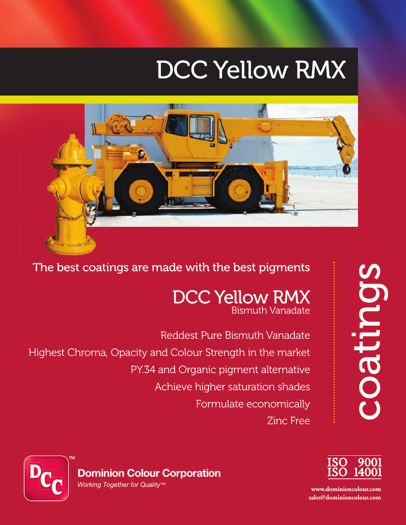# DCC Yellow RMX



The best coatings are made with the best pigments

## DCC Yellow RMX Bismuth Vanadate

Reddest Pure Bismuth Vanadate Highest Chroma, Opacity and Colour Strength in the market PY.34 and Organic pigment alternative Achieve higher saturation shades Formulate economically **Zinc Free** 





**www.dominioncolour.com sales@dominioncolour.com**

**Dominion Colour Corporation** *Working Together for Quality™*